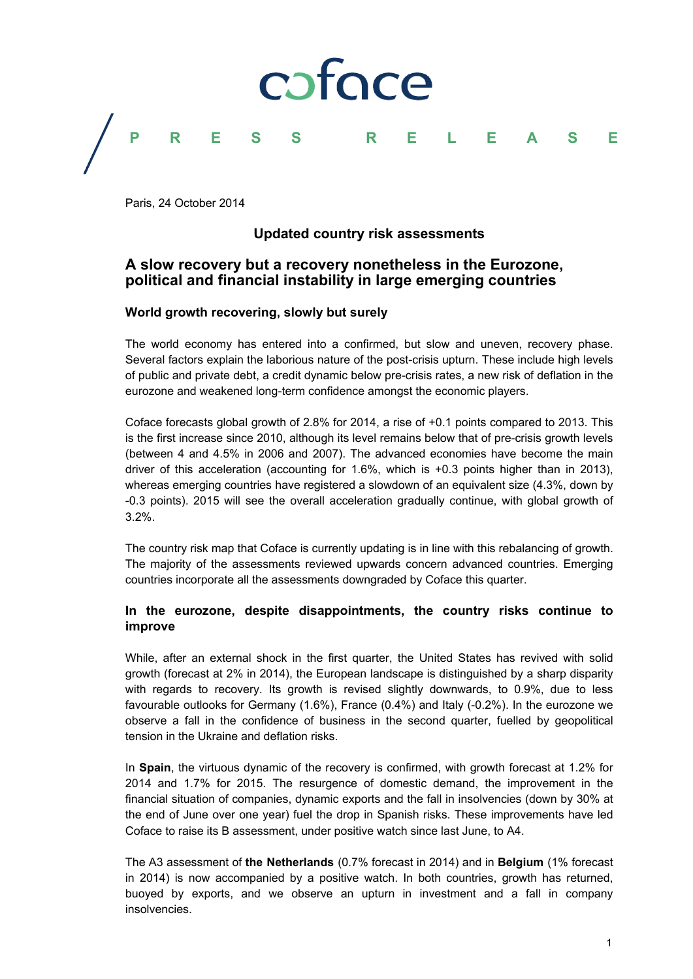

Paris, 24 October 2014

# **Updated country risk assessments**

# **A slow recovery but a recovery nonetheless in the Eurozone, political and financial instability in large emerging countries**

# **World growth recovering, slowly but surely**

The world economy has entered into a confirmed, but slow and uneven, recovery phase. Several factors explain the laborious nature of the post-crisis upturn. These include high levels of public and private debt, a credit dynamic below pre-crisis rates, a new risk of deflation in the eurozone and weakened long-term confidence amongst the economic players.

Coface forecasts global growth of 2.8% for 2014, a rise of +0.1 points compared to 2013. This is the first increase since 2010, although its level remains below that of pre-crisis growth levels (between 4 and 4.5% in 2006 and 2007). The advanced economies have become the main driver of this acceleration (accounting for 1.6%, which is +0.3 points higher than in 2013), whereas emerging countries have registered a slowdown of an equivalent size (4.3%, down by -0.3 points). 2015 will see the overall acceleration gradually continue, with global growth of 3.2%.

The country risk map that Coface is currently updating is in line with this rebalancing of growth. The majority of the assessments reviewed upwards concern advanced countries. Emerging countries incorporate all the assessments downgraded by Coface this quarter.

# **In the eurozone, despite disappointments, the country risks continue to improve**

While, after an external shock in the first quarter, the United States has revived with solid growth (forecast at 2% in 2014), the European landscape is distinguished by a sharp disparity with regards to recovery. Its growth is revised slightly downwards, to 0.9%, due to less favourable outlooks for Germany (1.6%), France (0.4%) and Italy (-0.2%). In the eurozone we observe a fall in the confidence of business in the second quarter, fuelled by geopolitical tension in the Ukraine and deflation risks.

In **Spain**, the virtuous dynamic of the recovery is confirmed, with growth forecast at 1.2% for 2014 and 1.7% for 2015. The resurgence of domestic demand, the improvement in the financial situation of companies, dynamic exports and the fall in insolvencies (down by 30% at the end of June over one year) fuel the drop in Spanish risks. These improvements have led Coface to raise its B assessment, under positive watch since last June, to A4.

The A3 assessment of **the Netherlands** (0.7% forecast in 2014) and in **Belgium** (1% forecast in 2014) is now accompanied by a positive watch. In both countries, growth has returned, buoyed by exports, and we observe an upturn in investment and a fall in company insolvencies.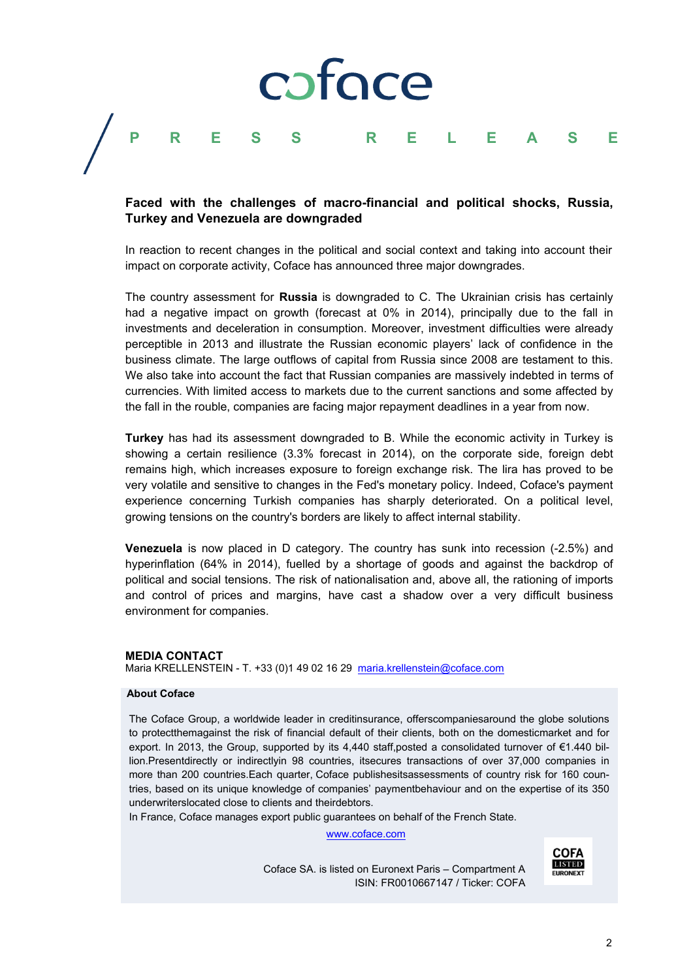# coface **PRESS RELEASE**

# **Faced with the challenges of macro-financial and political shocks, Russia, Turkey and Venezuela are downgraded**

In reaction to recent changes in the political and social context and taking into account their impact on corporate activity, Coface has announced three major downgrades.

The country assessment for **Russia** is downgraded to C. The Ukrainian crisis has certainly had a negative impact on growth (forecast at 0% in 2014), principally due to the fall in investments and deceleration in consumption. Moreover, investment difficulties were already perceptible in 2013 and illustrate the Russian economic players' lack of confidence in the business climate. The large outflows of capital from Russia since 2008 are testament to this. We also take into account the fact that Russian companies are massively indebted in terms of currencies. With limited access to markets due to the current sanctions and some affected by the fall in the rouble, companies are facing major repayment deadlines in a year from now.

**Turkey** has had its assessment downgraded to B. While the economic activity in Turkey is showing a certain resilience (3.3% forecast in 2014), on the corporate side, foreign debt remains high, which increases exposure to foreign exchange risk. The lira has proved to be very volatile and sensitive to changes in the Fed's monetary policy. Indeed, Coface's payment experience concerning Turkish companies has sharply deteriorated. On a political level, growing tensions on the country's borders are likely to affect internal stability.

**Venezuela** is now placed in D category. The country has sunk into recession (-2.5%) and hyperinflation (64% in 2014), fuelled by a shortage of goods and against the backdrop of political and social tensions. The risk of nationalisation and, above all, the rationing of imports and control of prices and margins, have cast a shadow over a very difficult business environment for companies.

#### **MEDIA CONTACT**

Maria KRELLENSTEIN - T. +33 (0)1 49 02 16 29 maria.krellenstein@coface.com

#### **About Coface**

The Coface Group, a worldwide leader in creditinsurance, offerscompaniesaround the globe solutions to protectthemagainst the risk of financial default of their clients, both on the domesticmarket and for export. In 2013, the Group, supported by its 4,440 staff,posted a consolidated turnover of €1.440 billion.Presentdirectly or indirectlyin 98 countries, itsecures transactions of over 37,000 companies in more than 200 countries.Each quarter, Coface publishesitsassessments of country risk for 160 countries, based on its unique knowledge of companies' paymentbehaviour and on the expertise of its 350 underwriterslocated close to clients and theirdebtors.

In France, Coface manages export public guarantees on behalf of the French State.

www.coface.com

Coface SA. is listed on Euronext Paris – Compartment A ISIN: FR0010667147 / Ticker: COFA